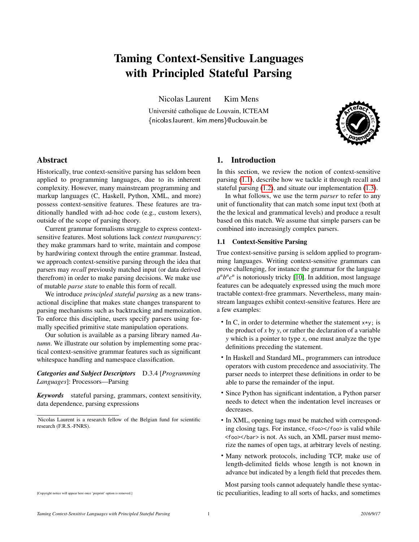# <span id="page-0-1"></span>Taming Context-Sensitive Languages with Principled Stateful Parsing

Nicolas Laurent Kim Mens

Université catholique de Louvain, ICTEAM {nicolas.laurent, kim.mens}@uclouvain.be



# Abstract

Historically, true context-sensitive parsing has seldom been applied to programming languages, due to its inherent complexity. However, many mainstream programming and markup languages (C, Haskell, Python, XML, and more) possess context-sensitive features. These features are traditionally handled with ad-hoc code (e.g., custom lexers), outside of the scope of parsing theory.

Current grammar formalisms struggle to express contextsensitive features. Most solutions lack *context transparency*: they make grammars hard to write, maintain and compose by hardwiring context through the entire grammar. Instead, we approach context-sensitive parsing through the idea that parsers may *recall* previously matched input (or data derived therefrom) in order to make parsing decisions. We make use of mutable *parse state* to enable this form of recall.

We introduce *principled stateful parsing* as a new transactional discipline that makes state changes transparent to parsing mechanisms such as backtracking and memoization. To enforce this discipline, users specify parsers using formally specified primitive state manipulation operations.

Our solution is available as a parsing library named *Autumn*. We illustrate our solution by implementing some practical context-sensitive grammar features such as significant whitespace handling and namespace classification.

## *Categories and Subject Descriptors* D.3.4 [*Programming Languages*]: Processors—Parsing

*Keywords* stateful parsing, grammars, context sensitivity, data dependence, parsing expressions

# <span id="page-0-2"></span>1. Introduction

In this section, we review the notion of context-sensitive parsing [\(1.1\)](#page-0-0), describe how we tackle it through recall and stateful parsing [\(1.2\)](#page-1-0), and situate our implementation [\(1.3\)](#page-1-1).

In what follows, we use the term *parser* to refer to any unit of functionality that can match some input text (both at the the lexical and grammatical levels) and produce a result based on this match. We assume that simple parsers can be combined into increasingly complex parsers.

#### <span id="page-0-0"></span>1.1 Context-Sensitive Parsing

True context-sensitive parsing is seldom applied to programming languages. Writing context-sensitive grammars can prove challenging, for instance the grammar for the language  $a^n b^n c^n$  is notoriously tricky [\[10\]](#page-12-0). In addition, most language features can be adequately expressed using the much more tractable context-free grammars. Nevertheless, many mainstream languages exhibit context-sensitive features. Here are a few examples:

- In C, in order to determine whether the statement x\*y; is the product of *x* by *y*, or rather the declaration of a variable *y* which is a pointer to type *x*, one must analyze the type definitions preceding the statement.
- In Haskell and Standard ML, programmers can introduce operators with custom precedence and associativity. The parser needs to interpret these definitions in order to be able to parse the remainder of the input.
- Since Python has significant indentation, a Python parser needs to detect when the indentation level increases or decreases.
- In XML, opening tags must be matched with corresponding closing tags. For instance, <foo></foo> is valid while <foo></bar> is not. As such, an XML parser must memorize the names of open tags, at arbitrary levels of nesting.
- Many network protocols, including TCP, make use of length-delimited fields whose length is not known in advance but indicated by a length field that precedes them.

Most parsing tools cannot adequately handle these syntactic peculiarities, leading to all sorts of hacks, and sometimes

[Copyright notice will appear here once 'preprint' option is removed.]

Nicolas Laurent is a research fellow of the Belgian fund for scientific research (F.R.S.-FNRS).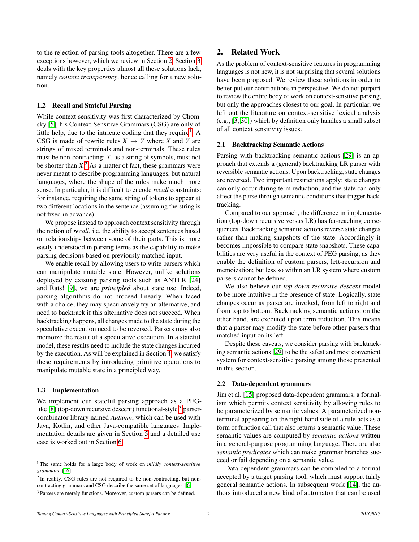to the rejection of parsing tools altogether. There are a few exceptions however, which we review in Section [2.](#page-1-2) Section [3](#page-3-0) deals with the key properties almost all these solutions lack, namely *context transparency*, hence calling for a new solution.

## <span id="page-1-0"></span>1.2 Recall and Stateful Parsing

While context sensitivity was first characterized by Chomsky [\[5\]](#page-12-1), his Context-Sensitive Grammars (CSG) are only of little help, due to the intricate coding that they require<sup>[1](#page-0-1)</sup>. A CSG is made of rewrite rules  $X \rightarrow Y$  where *X* and *Y* are strings of mixed terminals and non-terminals. These rules must be non-contracting: *Y*, as a string of symbols, must not be shorter than  $X$ .<sup>[2](#page-0-1)</sup> As a matter of fact, these grammars were never meant to describe programming languages, but natural languages, where the shape of the rules make much more sense. In particular, it is difficult to encode *recall* constraints: for instance, requiring the same string of tokens to appear at two different locations in the sentence (assuming the string is not fixed in advance).

We propose instead to approach context sensitivity through the notion of *recall*, i.e. the ability to accept sentences based on relationships between some of their parts. This is more easily understood in parsing terms as the capability to make parsing decisions based on previously matched input.

We enable recall by allowing users to write parsers which can manipulate mutable state. However, unlike solutions deployed by existing parsing tools such as ANTLR [\[24\]](#page-12-2) and Rats! [\[9\]](#page-12-3), we are *principled* about state use. Indeed, parsing algorithms do not proceed linearly. When faced with a choice, they may speculatively try an alternative, and need to backtrack if this alternative does not succeed. When backtracking happens, all changes made to the state during the speculative execution need to be reversed. Parsers may also memoize the result of a speculative execution. In a stateful model, these results need to include the state changes incurred by the execution. As will be explained in Section [4,](#page-3-1) we satisfy these requirements by introducing primitive operations to manipulate mutable state in a principled way.

## <span id="page-1-1"></span>1.3 Implementation

We implement our stateful parsing approach as a PEGlike  $[8]$  (top-down recursive descent) functional-style  $3$  parsercombinator library named *Autumn*, which can be used with Java, Kotlin, and other Java-compatible languages. Implementation details are given in Section [5](#page-6-0) and a detailed use case is worked out in Section [6.](#page-8-0)

# <span id="page-1-2"></span>2. Related Work

As the problem of context-sensitive features in programming languages is not new, it is not surprising that several solutions have been proposed. We review these solutions in order to better put our contributions in perspective. We do not purport to review the entire body of work on context-sensitive parsing, but only the approaches closest to our goal. In particular, we left out the literature on context-sensitive lexical analysis (e.g., [\[3,](#page-12-7) [30\]](#page-12-8)) which by definition only handles a small subset of all context sensitivity issues.

## 2.1 Backtracking Semantic Actions

Parsing with backtracking semantic actions [\[29\]](#page-12-9) is an approach that extends a (general) backtracking LR parser with reversible semantic actions. Upon backtracking, state changes are reversed. Two important restrictions apply: state changes can only occur during term reduction, and the state can only affect the parse through semantic conditions that trigger backtracking.

Compared to our approach, the difference in implementation (top-down recursive versus LR) has far-reaching consequences. Backtracking semantic actions reverse state changes rather than making snapshots of the state. Accordingly it becomes impossible to compare state snapshots. These capabilities are very useful in the context of PEG parsing, as they enable the definition of custom parsers, left-recursion and memoization; but less so within an LR system where custom parsers cannot be defined.

We also believe our *top-down recursive-descent* model to be more intuitive in the presence of state. Logically, state changes occur as parser are invoked, from left to right and from top to bottom. Backtracking semantic actions, on the other hand, are executed upon term reduction. This means that a parser may modify the state before other parsers that matched input on its left.

Despite these caveats, we consider parsing with backtracking semantic actions [\[29\]](#page-12-9) to be the safest and most convenient system for context-sensitive parsing among those presented in this section.

# <span id="page-1-3"></span>2.2 Data-dependent grammars

Jim et al. [\[15\]](#page-12-10) proposed data-dependent grammars, a formalism which permits context sensitivity by allowing rules to be parameterized by semantic values. A parameterized nonterminal appearing on the right-hand side of a rule acts as a form of function call that also returns a semantic value. These semantic values are computed by *semantic actions* written in a general-purpose programming language. There are also *semantic predicates* which can make grammar branches succeed or fail depending on a semantic value.

Data-dependent grammars can be compiled to a format accepted by a target parsing tool, which must support fairly general semantic actions. In subsequent work [\[14\]](#page-12-11), the authors introduced a new kind of automaton that can be used

<sup>1</sup> The same holds for a large body of work on *mildly context-sensitive grammars*. [\[16\]](#page-12-5)

 $2$ In reality, CSG rules are not required to be non-contracting, but noncontracting grammars and CSG describe the same set of languages. [\[6\]](#page-12-6)

<sup>3</sup> Parsers are merely functions. Moreover, custom parsers can be defined.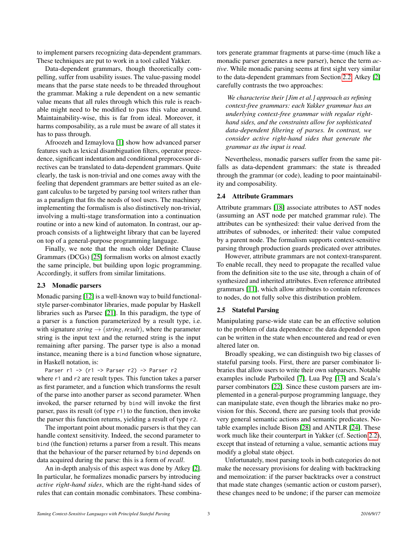to implement parsers recognizing data-dependent grammars. These techniques are put to work in a tool called Yakker.

Data-dependent grammars, though theoretically compelling, suffer from usability issues. The value-passing model means that the parse state needs to be threaded throughout the grammar. Making a rule dependent on a new semantic value means that all rules through which this rule is reachable might need to be modified to pass this value around. Maintainability-wise, this is far from ideal. Moreover, it harms composability, as a rule must be aware of all states it has to pass through.

Afroozeh and Izmaylova [\[1\]](#page-12-12) show how advanced parser features such as lexical disambiguation filters, operator precedence, significant indentation and conditional preprocessor directives can be translated to data-dependent grammars. Quite clearly, the task is non-trivial and one comes away with the feeling that dependent grammars are better suited as an elegant calculus to be targeted by parsing tool writers rather than as a paradigm that fits the needs of tool users. The machinery implementing the formalism is also distinctively non-trivial, involving a multi-stage transformation into a continuation routine or into a new kind of automaton. In contrast, our approach consists of a lightweight library that can be layered on top of a general-purpose programming language.

Finally, we note that the much older Definite Clause Grammars (DCGs) [\[25\]](#page-12-13) formalism works on almost exactly the same principle, but building upon logic programming. Accordingly, it suffers from similar limitations.

## 2.3 Monadic parsers

Monadic parsing [\[12\]](#page-12-14) is a well-known way to build functionalstyle parser-combinator libraries, made popular by Haskell libraries such as Parsec [\[21\]](#page-12-15). In this paradigm, the type of a parser is a function parameterized by a result type, i.e. with signature *string*  $\rightarrow$  (*string*, *result*), where the parameter string is the input text and the returned string is the input remaining after parsing. The parser type is also a monad instance, meaning there is a bind function whose signature, in Haskell notation, is:

Parser r1 -> (r1 -> Parser r2) -> Parser r2

where r1 and r2 are result types. This function takes a parser as first parameter, and a function which transforms the result of the parse into another parser as second parameter. When invoked, the parser returned by bind will invoke the first parser, pass its result (of type r1) to the function, then invoke the parser this function returns, yielding a result of type r2.

The important point about monadic parsers is that they can handle context sensitivity. Indeed, the second parameter to bind (the function) returns a parser from a result. This means that the behaviour of the parser returned by bind depends on data acquired during the parse: this is a form of *recall*.

An in-depth analysis of this aspect was done by Atkey [\[2\]](#page-12-16). In particular, he formalizes monadic parsers by introducing *active right-hand sides*, which are the right-hand sides of rules that can contain monadic combinators. These combinators generate grammar fragments at parse-time (much like a monadic parser generates a new parser), hence the term *active*. While monadic parsing seems at first sight very similar to the data-dependent grammars from Section [2.2,](#page-1-3) Atkey [\[2\]](#page-12-16) carefully contrasts the two approaches:

*We characterise their [Jim et al.] approach as refining context-free grammars: each Yakker grammar has an underlying context-free grammar with regular righthand sides, and the constraints allow for sophisticated data-dependent filtering of parses. In contrast, we consider active right-hand sides that generate the grammar as the input is read.*

Nevertheless, monadic parsers suffer from the same pitfalls as data-dependent grammars: the state is threaded through the grammar (or code), leading to poor maintainability and composability.

## 2.4 Attribute Grammars

Attribute grammars [\[18\]](#page-12-17) associate attributes to AST nodes (assuming an AST node per matched grammar rule). The attributes can be synthesized: their value derived from the attributes of subnodes, or inherited: their value computed by a parent node. The formalism supports context-sensitive parsing through production guards predicated over attributes.

However, attribute grammars are not context-transparent. To enable recall, they need to propagate the recalled value from the definition site to the use site, through a chain of of synthesized and inherited attributes. Even reference attributed grammars [\[11\]](#page-12-18), which allow attributes to contain references to nodes, do not fully solve this distribution problem.

# <span id="page-2-0"></span>2.5 Stateful Parsing

Manipulating parse-wide state can be an effective solution to the problem of data dependence: the data depended upon can be written in the state when encountered and read or even altered later on.

Broadly speaking, we can distinguish two big classes of stateful parsing tools. First, there are parser combinator libraries that allow users to write their own subparsers. Notable examples include Parboiled [\[7\]](#page-12-19), Lua Peg [\[13\]](#page-12-20) and Scala's parser combinators [\[22\]](#page-12-21). Since these custom parsers are implemented in a general-purpose programming language, they can manipulate state, even though the libraries make no provision for this. Second, there are parsing tools that provide very general semantic actions and semantic predicates. Notable examples include Bison [\[28\]](#page-12-22) and ANTLR [\[24\]](#page-12-2). These work much like their counterpart in Yakker (cf. Section [2.2\)](#page-1-3), except that instead of returning a value, semantic actions may modify a global state object.

Unfortunately, most parsing tools in both categories do not make the necessary provisions for dealing with backtracking and memoization: if the parser backtracks over a construct that made state changes (semantic action or custom parser), these changes need to be undone; if the parser can memoize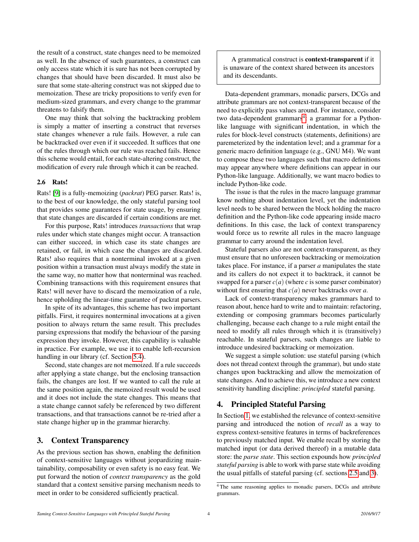the result of a construct, state changes need to be memoized as well. In the absence of such guarantees, a construct can only access state which it is sure has not been corrupted by changes that should have been discarded. It must also be sure that some state-altering construct was not skipped due to memoization. These are tricky propositions to verify even for medium-sized grammars, and every change to the grammar threatens to falsify them.

One may think that solving the backtracking problem is simply a matter of inserting a construct that reverses state changes whenever a rule fails. However, a rule can be backtracked over even if it succeeded. It suffices that one of the rules through which our rule was reached fails. Hence this scheme would entail, for each state-altering construct, the modification of every rule through which it can be reached.

#### 2.6 Rats!

Rats! [\[9\]](#page-12-3) is a fully-memoizing (*packrat*) PEG parser. Rats! is, to the best of our knowledge, the only stateful parsing tool that provides some guarantees for state usage, by ensuring that state changes are discarded if certain conditions are met.

For this purpose, Rats! introduces *transactions* that wrap rules under which state changes might occur. A transaction can either succeed, in which case its state changes are retained, or fail, in which case the changes are discarded. Rats! also requires that a nonterminal invoked at a given position within a transaction must always modify the state in the same way, no matter how that nonterminal was reached. Combining transactions with this requirement ensures that Rats! will never have to discard the memoization of a rule, hence upholding the linear-time guarantee of packrat parsers.

In spite of its advantages, this scheme has two important pitfalls. First, it requires nonterminal invocations at a given position to always return the same result. This precludes parsing expressions that modify the behaviour of the parsing expression they invoke. However, this capability is valuable in practice. For example, we use it to enable left-recursion handling in our library (cf. Section [5.4\)](#page-7-0).

Second, state changes are not memoized. If a rule succeeds after applying a state change, but the enclosing transaction fails, the changes are lost. If we wanted to call the rule at the same position again, the memoized result would be used and it does not include the state changes. This means that a state change cannot safely be referenced by two different transactions, and that transactions cannot be re-tried after a state change higher up in the grammar hierarchy.

# <span id="page-3-0"></span>3. Context Transparency

As the previous section has shown, enabling the definition of context-sensitive languages without jeopardizing maintainability, composability or even safety is no easy feat. We put forward the notion of *context transparency* as the gold standard that a context sensitive parsing mechanism needs to meet in order to be considered sufficiently practical.

A grammatical construct is context-transparent if it is unaware of the context shared between its ancestors and its descendants.

Data-dependent grammars, monadic parsers, DCGs and attribute grammars are not context-transparent because of the need to explicitly pass values around. For instance, consider two data-dependent grammars<sup>[4](#page-0-1)</sup>: a grammar for a Pythonlike language with significant indentation, in which the rules for block-level constructs (statements, definitions) are paremeterized by the indentation level; and a grammar for a generic macro definition language (e.g., GNU M4). We want to compose these two languages such that macro definitions may appear anywhere where definitions can appear in our Python-like language. Additionally, we want macro bodies to include Python-like code.

The issue is that the rules in the macro language grammar know nothing about indentation level, yet the indentation level needs to be shared between the block holding the macro definition and the Python-like code appearing inside macro definitions. In this case, the lack of context transparency would force us to rewrite all rules in the macro language grammar to carry around the indentation level.

Stateful parsers also are not context-transparent, as they must ensure that no unforeseen backtracking or memoization takes place. For instance, if a parser *a* manipulates the state and its callers do not expect it to backtrack, it cannot be swapped for a parser  $c(a)$  (where *c* is some parser combinator) without first ensuring that *c*(*a*) never backtracks over *a*.

Lack of context-transparency makes grammars hard to reason about, hence hard to write and to maintain: refactoring, extending or composing grammars becomes particularly challenging, because each change to a rule might entail the need to modify all rules through which it is (transitively) reachable. In stateful parsers, such changes are liable to introduce undesired backtracking or memoization.

We suggest a simple solution: use stateful parsing (which does not thread context through the grammar), but undo state changes upon backtracking and allow the memoization of state changes. And to achieve this, we introduce a new context sensitivity handling discipline: *principled* stateful parsing.

# <span id="page-3-1"></span>4. Principled Stateful Parsing

In Section [1,](#page-0-2) we established the relevance of context-sensitive parsing and introduced the notion of *recall* as a way to express context-sensitive features in terms of backreferences to previously matched input. We enable recall by storing the matched input (or data derived thereof) in a mutable data store: the *parse state*. This section expounds how *principled stateful parsing* is able to work with parse state while avoiding the usual pitfalls of stateful parsing (cf. sections [2.5](#page-2-0) and [3\)](#page-3-0).

<sup>&</sup>lt;sup>4</sup>The same reasoning applies to monadic parsers, DCGs and attribute grammars.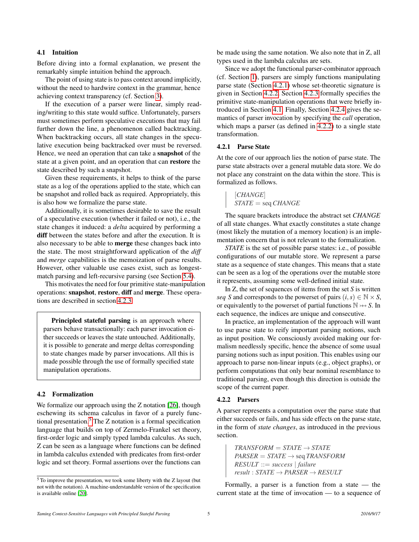# <span id="page-4-2"></span>4.1 Intuition

Before diving into a formal explanation, we present the remarkably simple intuition behind the approach.

The point of using state is to pass context around implicitly, without the need to hardwire context in the grammar, hence achieving context transparency (cf. Section [3\)](#page-3-0).

If the execution of a parser were linear, simply reading/writing to this state would suffice. Unfortunately, parsers must sometimes perform speculative executions that may fail further down the line, a phenomenon called backtracking. When backtracking occurs, all state changes in the speculative execution being backtracked over must be reversed. Hence, we need an operation that can take a snapshot of the state at a given point, and an operation that can restore the state described by such a snapshot.

Given these requirements, it helps to think of the parse state as a log of the operations applied to the state, which can be snapshot and rolled back as required. Appropriately, this is also how we formalize the parse state.

Additionally, it is sometimes desirable to save the result of a speculative execution (whether it failed or not), i.e., the state changes it induced: a *delta* acquired by performing a diff between the states before and after the execution. It is also necessary to be able to merge these changes back into the state. The most straightforward application of the *diff* and *merge* capabilities is the memoization of parse results. However, other valuable use cases exist, such as longestmatch parsing and left-recursive parsing (see Section [5.4\)](#page-7-0).

This motivates the need for four primitive state-manipulation operations: snapshot, restore, diff and merge. These operations are described in section [4.2.3.](#page-5-0)

Principled stateful parsing is an approach where parsers behave transactionally: each parser invocation either succeeds or leaves the state untouched. Additionally, it is possible to generate and merge deltas corresponding to state changes made by parser invocations. All this is made possible through the use of formally specified state manipulation operations.

#### 4.2 Formalization

We formalize our approach using the Z notation [\[26\]](#page-12-23), though eschewing its schema calculus in favor of a purely functional presentation. $5$  The Z notation is a formal specification language that builds on top of Zermelo-Frankel set theory, first-order logic and simply typed lambda calculus. As such, Z can be seen as a language where functions can be defined in lambda calculus extended with predicates from first-order logic and set theory. Formal assertions over the functions can

be made using the same notation. We also note that in Z, all types used in the lambda calculus are sets.

Since we adopt the functional parser-combinator approach (cf. Section [1\)](#page-0-2), parsers are simply functions manipulating parse state (Section [4.2.1\)](#page-4-0) whose set-theoretic signature is given in Section [4.2.2.](#page-4-1) Section [4.2.3](#page-5-0) formally specifies the primitive state-manipulation operations that were briefly introduced in Section [4.1.](#page-4-2) Finally, Section [4.2.4](#page-6-1) gives the semantics of parser invocation by specifying the *call* operation, which maps a parser (as defined in [4.2.2\)](#page-4-1) to a single state transformation.

#### <span id="page-4-0"></span>4.2.1 Parse State

At the core of our approach lies the notion of parse state. The parse state abstracts over a general mutable data store. We do not place any constraint on the data within the store. This is formalized as follows.

$$
[CHANGE]
$$
  
STATE = seq CHANGE

The square brackets introduce the abstract set *CHANGE* of all state changes. What exactly constitutes a state change (most likely the mutation of a memory location) is an implementation concern that is not relevant to the formalization.

*STATE* is the set of possible parse states: i.e., of possible configurations of our mutable store. We represent a parse state as a sequence of state changes. This means that a state can be seen as a log of the operations over the mutable store it represents, assuming some well-defined initial state.

In Z, the set of sequences of items from the set *S* is written *seq S* and corresponds to the powerset of pairs  $(i, s) \in \mathbb{N} \times S$ , or equivalently to the powerset of partial functions  $\mathbb{N} \rightarrow S$ . In each sequence, the indices are unique and consecutive.

In practice, an implementation of the approach will want to use parse state to reify important parsing notions, such as input position. We consciously avoided making our formalism needlessly specific, hence the absence of some usual parsing notions such as input position. This enables using our approach to parse non-linear inputs (e.g., object graphs), or perform computations that only bear nominal resemblance to traditional parsing, even though this direction is outside the scope of the current paper.

#### <span id="page-4-1"></span>4.2.2 Parsers

A parser represents a computation over the parse state that either succeeds or fails, and has side effects on the parse state, in the form of *state changes*, as introduced in the previous section.

*TRANSFORM* = *STATE* → *STATE*  $PARSER = STATE \rightarrow seq \, TRANSFORM$ *RESULT* ::= *success* | *failure result* : *STATE* → *PARSER* → *RESULT*

Formally, a parser is a function from a state — the current state at the time of invocation — to a sequence of

<sup>5</sup> To improve the presentation, we took some liberty with the Z layout (but not with the notation). A machine-understandable version of the specification is available online [\[20\]](#page-12-24).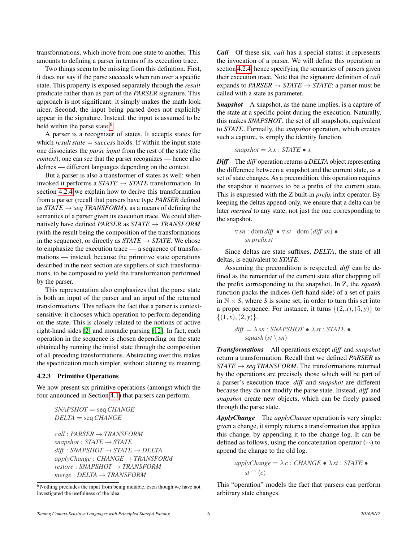transformations, which move from one state to another. This amounts to defining a parser in terms of its execution trace.

Two things seem to be missing from this definition. First, it does not say if the parse succeeds when run over a specific state. This property is exposed separately through the *result* predicate rather than as part of the *PARSER* signature. This approach is not significant: it simply makes the math look nicer. Second, the input being parsed does not explicitly appear in the signature. Instead, the input is assumed to be held within the parse state.<sup>[6](#page-0-1)</sup>

A parser is a recognizer of states. It accepts states for which *result state* = *success* holds. If within the input state one dissociates the *parse input* from the rest of the state (the *context*), one can see that the parser recognizes — hence also defines — different languages depending on the context.

But a parser is also a transformer of states as well: when invoked it performs a  $STATE \rightarrow STATE$  transformation. In section [4.2.4](#page-6-1) we explain how to derive this transformation from a parser (recall that parsers have type *PARSER* defined as *STATE*  $\rightarrow$  *seq TRANSFORM*), as a means of defining the semantics of a parser given its execution trace. We could alternatively have defined *PARSER* as *STATE* → *TRANSFORM* (with the result being the composition of the transformations in the sequence), or directly as  $STATE \rightarrow STATE$ . We chose to emphasize the execution trace — a sequence of transformations — instead, because the primitive state operations described in the next section are suppliers of such transformations, to be composed to yield the transformation performed by the parser.

This representation also emphasizes that the parse state is both an input of the parser and an input of the returned transformations. This reflects the fact that a parser is contextsensitive: it chooses which operation to perform depending on the state. This is closely related to the notions of active right-hand sides [\[2\]](#page-12-16) and monadic parsing [\[12\]](#page-12-14). In fact, each operation in the sequence is chosen depending on the state obtained by running the initial state through the composition of all preceding transformations. Abstracting over this makes the specification much simpler, without altering its meaning.

# <span id="page-5-0"></span>4.2.3 Primitive Operations

We now present six primitive operations (amongst which the four announced in Section [4.1\)](#page-4-2) that parsers can perform.

```
SNAPSHOT = seqCHANGE
DELTA = seqCHANGE
call : PARSER → TRANSFORM
snapshot : STATE \rightarrow STATEdiff : SNAPSHOT \rightarrow STATE \rightarrow DELTAapplyChange : CHANGE → TRANSFORM
restore : SNAPSHOT → TRANSFORM
merge : DELTA → TRANSFORM
```
*Call* Of these six, *call* has a special status: it represents the invocation of a parser. We will define this operation in section [4.2.4,](#page-6-1) hence specifying the semantics of parsers given their execution trace. Note that the signature definition of *call* expands to *PARSER*  $\rightarrow$  *STATE*  $\rightarrow$  *STATE*: a parser must be called with a state as parameter.

**Snapshot** A snapshot, as the name implies, is a capture of the state at a specific point during the execution. Naturally, this makes *SNAPSHOT*, the set of all snapshots, equivalent to *STATE*. Formally, the *snapshot* operation, which creates such a capture, is simply the identity function.

$$
snapshot = \lambda x : STATE \bullet x
$$

*Diff* The *diff* operation returns a *DELTA* object representing the difference between a snapshot and the current state, as a set of state changes. As a precondition, this operation requires the snapshot it receives to be a prefix of the current state. This is expressed with the Z built-in *prefix* infix operator. By keeping the deltas append-only, we ensure that a delta can be later *merged* to any state, not just the one corresponding to the snapshot.

$$
\forall sn : \text{dom diff} \bullet \forall st : \text{dom (diff sn)} \bullet
$$
  
sn prefix st

Since deltas are state suffixes, *DELTA*, the state of all deltas, is equivalent to *STATE*.

Assuming the precondition is respected, *diff* can be defined as the remainder of the current state after chopping off the prefix corresponding to the snapshot. In Z, the *squash* function packs the indices (left-hand side) of a set of pairs in  $\mathbb{N} \times S$ , where *S* is some set, in order to turn this set into a proper sequence. For instance, it turns  $\{(2, x), (5, y)\}\)$  to  $\{(1, x), (2, y)\}.$ 

$$
diff = \lambda sn : SNAPSHOT \bullet \lambda st : STATE \bullet
$$
  
 
$$
squash (st \setminus sn)
$$

*Transformations* All operations except *diff* and *snapshot* return a transformation. Recall that we defined *PARSER* as  $STATE \rightarrow seq \, TRANSFORM.$  The transformations returned by the operations are precisely those which will be part of a parser's execution trace. *diff* and *snapshot* are different because they do not modify the parse state. Instead, *diff* and *snapshot* create new objects, which can be freely passed through the parse state.

*ApplyChange* The *applyChange* operation is very simple: given a change, it simply returns a transformation that applies this change, by appending it to the change log. It can be defined as follows, using the concatenation operator  $(\sim)$  to append the change to the old log.

$$
applyChange = \lambda c : CHANGE \bullet \lambda st : STATE \bullet
$$
  

$$
st \cap \langle c \rangle
$$

This "operation" models the fact that parsers can perform arbitrary state changes.

<sup>6</sup> Nothing precludes the input from being mutable, even though we have not investigated the usefulness of the idea.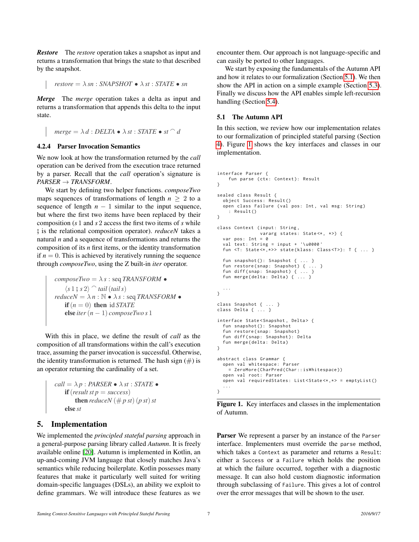*Restore* The *restore* operation takes a snapshot as input and returns a transformation that brings the state to that described by the snapshot.

$$
restore = \lambda sn : SNAPSHOT \bullet \lambda st : STATE \bullet sn
$$

*Merge* The *merge* operation takes a delta as input and returns a transformation that appends this delta to the input state.

$$
merge = \lambda \, d : DELTA \bullet \lambda \, st : STATE \bullet \, st \cap d
$$

## <span id="page-6-1"></span>4.2.4 Parser Invocation Semantics

We now look at how the transformation returned by the *call* operation can be derived from the execution trace returned by a parser. Recall that the *call* operation's signature is *PARSER* → *TRANSFORM*.

We start by defining two helper functions. *composeTwo* maps sequences of transformations of length  $n > 2$  to a sequence of length  $n - 1$  similar to the input sequence, but where the first two items have been replaced by their composition (*s* 1 and *s* 2 access the first two items of *s* while  $\frac{1}{2}$  is the relational composition operator). *reduceN* takes a natural *n* and a sequence of transformations and returns the composition of its *n* first items, or the identity transformation if  $n = 0$ . This is achieved by iteratively running the sequence through *composeTwo*, using the Z built-in *iter* operator.

*composeTwo* = 
$$
\lambda s
$$
 : seq *TRANSFORM* •  
\n $\langle s 1 \frac{2}{7} s 2 \rangle$  ^ *tail* (*tail s*)  
\n $reduceN = \lambda n : \mathbb{N} \cdot \lambda s$  : seq *TRANSFORM* •  
\nif  $(n = 0)$  then id *STATE*  
\nelse *iter*  $(n - 1)$  *composite*  $\forall s 1$ 

With this in place, we define the result of *call* as the composition of all transformations within the call's execution trace, assuming the parser invocation is successful. Otherwise, the identity transformation is returned. The hash sign  $(\#)$  is an operator returning the cardinality of a set.

$$
call = \lambda p : PARSER \bullet \lambda st : STATE \bullet
$$
  
if (result st p = success)  
then reduceN (# p st) (p st) st  
else st

# <span id="page-6-0"></span>5. Implementation

We implemented the *principled stateful parsing* approach in a general-purpose parsing library called *Autumn*. It is freely available online [\[20\]](#page-12-24). Autumn is implemented in Kotlin, an up-and-coming JVM language that closely matches Java's semantics while reducing boilerplate. Kotlin possesses many features that make it particularly well suited for writing domain-specific languages (DSLs), an ability we exploit to define grammars. We will introduce these features as we encounter them. Our approach is not language-specific and can easily be ported to other languages.

We start by exposing the fundamentals of the Autumn API and how it relates to our formalization (Section [5.1\)](#page-6-2). We then show the API in action on a simple example (Section [5.3\)](#page-7-1). Finally we discuss how the API enables simple left-recursion handling (Section [5.4\)](#page-7-0).

## <span id="page-6-2"></span>5.1 The Autumn API

In this section, we review how our implementation relates to our formalization of principled stateful parsing (Section [4\)](#page-3-1). Figure [1](#page-6-3) shows the key interfaces and classes in our implementation.

```
interface Parser {
    fun parse (ctx: Context): Result
}
sealed class Result {
  object Success: Result()
  open class Failure (val pos: Int, val msg: String)
    : Result ()
}
class Context (input: String,
                vararg states: State<*, *>) {
  var pos: Int = 0val text: String = input + \sqrt{00000}fun \leq T: State\leq \lt, \lt, \lt, \gt \gt state (klass: Class\leq T): T { ... }
  fun snapshot(): Snapshot { ... }
  fun restore (snap: Snapshot) { ... }
  fun diff (snap: Snapshot) { ... }
  fun merge ( delta: Delta) { ... }
  ...
}
class Snapshot { ... }
class Delta { ... }
interface State<Snapshot, Delta> {
  fun snapshot (): Snapshot
  fun restore (snap: Snapshot)
  fun diff ( snap : Snapshot ): Delta
  fun merge ( delta : Delta )
}
abstract class Grammar {
  open val whitespace : Parser
    = ZeroMore ( CharPred ( Char :: isWhitespace ))
  open val root : Parser
  open val requiredStates: List<State<*,*> = emptyList()
  ...
}
```
<span id="page-6-3"></span>Figure 1. Key interfaces and classes in the implementation of Autumn.

Parser We represent a parser by an instance of the Parser interface. Implementers must override the parse method, which takes a Context as parameter and returns a Result: either a Success or a Failure which holds the position at which the failure occurred, together with a diagnostic message. It can also hold custom diagnostic information through subclassing of Failure. This gives a lot of control over the error messages that will be shown to the user.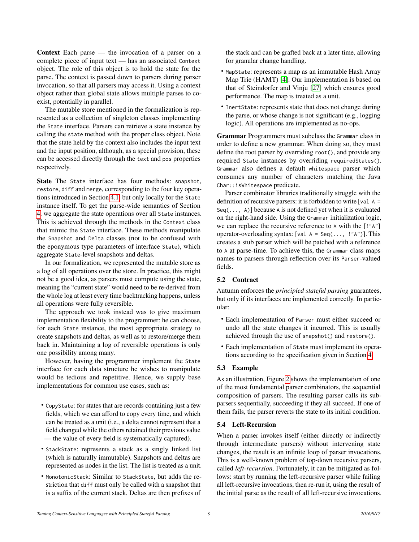Context Each parse — the invocation of a parser on a complete piece of input text — has an associated Context object. The role of this object is to hold the state for the parse. The context is passed down to parsers during parser invocation, so that all parsers may access it. Using a context object rather than global state allows multiple parses to coexist, potentially in parallel.

The mutable store mentioned in the formalization is represented as a collection of singleton classes implementing the State interface. Parsers can retrieve a state instance by calling the state method with the proper class object. Note that the state held by the context also includes the input text and the input position, although, as a special provision, these can be accessed directly through the text and pos properties respectively.

State The State interface has four methods: snapshot, restore, diff and merge, corresponding to the four key operations introduced in Section [4.1,](#page-4-2) but only locally for the State instance itself. To get the parse-wide semantics of Section [4,](#page-3-1) we aggregate the state operations over all State instances. This is achieved through the methods in the Context class that mimic the State interface. These methods manipulate the Snapshot and Delta classes (not to be confused with the eponymous type parameters of interface State), which aggregate State-level snapshots and deltas.

In our formalization, we represented the mutable store as a log of all operations over the store. In practice, this might not be a good idea, as parsers must compute using the state, meaning the "current state" would need to be re-derived from the whole log at least every time backtracking happens, unless all operations were fully reversible.

The approach we took instead was to give maximum implementation flexibility to the programmer: he can choose, for each State instance, the most appropriate strategy to create snapshots and deltas, as well as to restore/merge them back in. Maintaining a log of reversible operations is only one possibility among many.

However, having the programmer implement the State interface for each data structure he wishes to manipulate would be tedious and repetitive. Hence, we supply base implementations for common use cases, such as:

- CopyState: for states that are records containing just a few fields, which we can afford to copy every time, and which can be treated as a unit (i.e., a delta cannot represent that a field changed while the others retained their previous value — the value of every field is systematically captured).
- StackState: represents a stack as a singly linked list (which is naturally immutable). Snapshots and deltas are represented as nodes in the list. The list is treated as a unit.
- MonotonicStack: Similar to StackState, but adds the restriction that diff must only be called with a snapshot that is a suffix of the current stack. Deltas are then prefixes of

the stack and can be grafted back at a later time, allowing for granular change handling.

- MapState: represents a map as an immutable Hash Array Map Trie (HAMT) [\[4\]](#page-12-25). Our implementation is based on that of Steindorfer and Vinju [\[27\]](#page-12-26) which ensures good performance. The map is treated as a unit.
- InertState: represents state that does not change during the parse, or whose change is not significant (e.g., logging logic). All operations are implemented as no-ops.

Grammar Programmers must subclass the Grammar class in order to define a new grammar. When doing so, they must define the root parser by overriding root(), and provide any required State instances by overriding requiredStates(). Grammar also defines a default whitespace parser which consumes any number of characters matching the Java Char::isWhitespace predicate.

Parser combinator libraries traditionally struggle with the definition of recursive parsers: it is forbidden to write  $\lceil$  val A =  $Seq(..., A)]$  because A is not defined yet when it is evaluated on the right-hand side. Using the Grammar initialization logic, we can replace the recursive reference to A with the [!"A"] operator-overloading syntax:  $[val A = Seq(..., !"A")]$ . This creates a stub parser which will be patched with a reference to A at parse-time. To achieve this, the Grammar class maps names to parsers through reflection over its Parser-valued fields.

# 5.2 Contract

Autumn enforces the *principled stateful parsing* guarantees, but only if its interfaces are implemented correctly. In particular:

- Each implementation of Parser must either succeed or undo all the state changes it incurred. This is usually achieved through the use of snapshot() and restore().
- Each implementation of State must implement its operations according to the specification given in Section [4.](#page-3-1)

# <span id="page-7-1"></span>5.3 Example

As an illustration, Figure [2](#page-8-1) shows the implementation of one of the most fundamental parser combinators, the sequential composition of parsers. The resulting parser calls its subparsers sequentially, succeeding if they all succeed. If one of them fails, the parser reverts the state to its initial condition.

# <span id="page-7-0"></span>5.4 Left-Recursion

When a parser invokes itself (either directly or indirectly through intermediate parsers) without intervening state changes, the result is an infinite loop of parser invocations. This is a well-known problem of top-down recursive parsers, called *left-recursion*. Fortunately, it can be mitigated as follows: start by running the left-recursive parser while failing all left-recursive invocations, then re-run it, using the result of the initial parse as the result of all left-recursive invocations.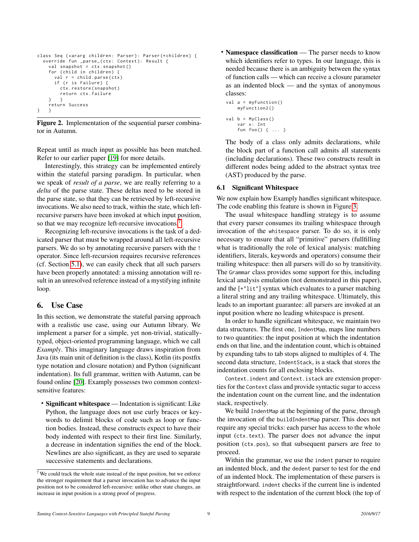```
class Seq (vararg children: Parser): Parser (* children) {
  override fun _parse_ ( ctx : Context ): Result {
    val snapshot = ctx . snapshot ()
    for (child in children) {
      val r = child.parse(ctx)if (r is Failure) {
        ctx . restore ( snapshot )
        return ctx . failure
    } }
    return Success
} }
```
<span id="page-8-1"></span>Figure 2. Implementation of the sequential parser combinator in Autumn.

Repeat until as much input as possible has been matched. Refer to our earlier paper [\[19\]](#page-12-27) for more details.

Interestingly, this strategy can be implemented entirely within the stateful parsing paradigm. In particular, when we speak of *result of a parse*, we are really referring to a *delta* of the parse state. These deltas need to be stored in the parse state, so that they can be retrieved by left-recursive invocations. We also need to track, within the state, which leftrecursive parsers have been invoked at which input position, so that we may recognize left-recursive invocations.<sup>[7](#page-0-1)</sup>

Recognizing left-recursive invocations is the task of a dedicated parser that must be wrapped around all left-recursive parsers. We do so by annotating recursive parsers with the ! operator. Since left-recursion requires recursive references (cf. Section [5.1\)](#page-6-2), we can easily check that all such parsers have been properly annotated: a missing annotation will result in an unresolved reference instead of a mystifying infinite loop.

# <span id="page-8-0"></span>6. Use Case

In this section, we demonstrate the stateful parsing approach with a realistic use case, using our Autumn library. We implement a parser for a simple, yet non-trivial, staticallytyped, object-oriented programming language, which we call *Examply*. This imaginary language draws inspiration from Java (its main unit of definition is the class), Kotlin (its postfix type notation and closure notation) and Python (significant indentation). Its full grammar, written with Autumn, can be found online [\[20\]](#page-12-24). Examply possesses two common contextsensitive features:

• Significant whitespace — Indentation is significant: Like Python, the language does not use curly braces or keywords to delimit blocks of code such as loop or function bodies. Instead, these constructs expect to have their body indented with respect to their first line. Similarly, a decrease in indentation signifies the end of the block. Newlines are also significant, as they are used to separate successive statements and declarations.

• Namespace classification — The parser needs to know which identifiers refer to types. In our language, this is needed because there is an ambiguity between the syntax of function calls — which can receive a closure parameter as an indented block — and the syntax of anonymous classes:

```
val a = myFunction ()
    myFunction2 ()
val b = MyClass ()
    var x: Int
    fun foo () { ... }
```
The body of a class only admits declarations, while the block part of a function call admits all statements (including declarations). These two constructs result in different nodes being added to the abstract syntax tree (AST) produced by the parse.

## <span id="page-8-2"></span>6.1 Significant Whitespace

We now explain how Examply handles significant whitespace. The code enabling this feature is shown in Figure [3.](#page-9-0)

The usual whitespace handling strategy is to assume that every parser consumes its trailing whitespace through invocation of the whitespace parser. To do so, it is only necessary to ensure that all "primitive" parsers (fullfilling what is traditionally the role of lexical analysis: matching identifiers, literals, keywords and operators) consume their trailing whitespace: then all parsers will do so by transitivity. The Grammar class provides some support for this, including lexical analysis emulation (not demonstrated in this paper), and the [+"lit"] syntax which evaluates to a parser matching a literal string and any trailing whitespace. Ultimately, this leads to an important guarantee: all parsers are invoked at an input position where no leading whitespace is present.

In order to handle significant whitespace, we maintain two data structures. The first one, IndentMap, maps line numbers to two quantities: the input position at which the indentation ends on that line, and the indentation count, which is obtained by expanding tabs to tab stops aligned to multiples of 4. The second data structure, IndentStack, is a stack that stores the indentation counts for all enclosing blocks.

Context.indent and Context.istack are extension properties for the Context class and provide syntactic sugar to access the indentation count on the current line, and the indentation stack, respectively.

We build IndentMap at the beginning of the parse, through the invocation of the buildIndentMap parser. This does not require any special tricks: each parser has access to the whole input (ctx.text). The parser does not advance the input position (ctx.pos), so that subsequent parsers are free to proceed.

Within the grammar, we use the indent parser to require an indented block, and the dedent parser to test for the end of an indented block. The implementation of these parsers is straightforward. indent checks if the current line is indented with respect to the indentation of the current block (the top of

<sup>7</sup> We could track the whole state instead of the input position, but we enforce the stronger requirement that a parser invocation has to advance the input position not to be considered left-recursive: unlike other state changes, an increase in input position is a strong proof of progress.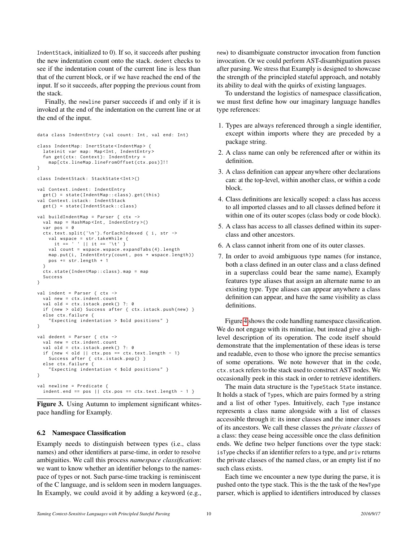IndentStack, initialized to 0). If so, it succeeds after pushing the new indentation count onto the stack. dedent checks to see if the indentation count of the current line is less than that of the current block, or if we have reached the end of the input. If so it succeeds, after popping the previous count from the stack.

Finally, the newline parser succeeds if and only if it is invoked at the end of the indentation on the current line or at the end of the input.

```
data class IndentEntry (val count: Int, val end: Int)
class IndentMap: InertState<IndentMap> {
  lateinit var map: Map<Int, IndentEntry>
  fun get (ctx: Context): IndentEntry =
    map [ ctx . lineMap . lineFromOffset ( ctx . pos )]!!
}
class IndentStack: StackState<Int>()
val Context.indent: IndentEntry
 get () = state ( IndentMap :: class ). get ( this )
val Context . istack : IndentStack
  get () = state ( IndentStack :: class )
val buildIndentMap = Parser { ctx ->
 val map = HashMap<Int, IndentEntry>()
  var pos = 0
  ctx . text . split ('\n '). forEachIndexed { i , str ->
    val wspace = str . takeWhile {
      it == ' ' || it == '\t' }
    val count = wspace.wspace.expandTabs(4).length
    map.put(i, IndentEntry(count, pos + wspace.length))
    pos += str . length + 1
  }
  ctx . state ( IndentMap :: class ). map = map
  Success
}
val indent = Parser { ctx ->
  val new = ctx . indent . count
  val old = ctx.istack.peek() ?: 0
  if (new > old) Success after { ctx.istack.push(new) }
  else ctx . failure {
     Expecting indentation > $old positions" }
}
val dedent = Parser { ctx ->
  val new = ctx . indent . count
  val old = ctx.istack.peek() ?: 0
  if (new < old>| | ctx.pos == ctx.text.length - 1)
    Success after { ctx . istack . pop () }
  else ctx . failure {
    " Expecting indentation < $old positions " }
}
val newline = Predicate {
  indent.end == pos || ctx.pos == ctx.text.length - 1
```
<span id="page-9-0"></span>Figure 3. Using Autumn to implement significant whitespace handling for Examply.

## <span id="page-9-1"></span>6.2 Namespace Classification

Examply needs to distinguish between types (i.e., class names) and other identifiers at parse-time, in order to resolve ambiguities. We call this process *namespace classification*: we want to know whether an identifier belongs to the namespace of types or not. Such parse-time tracking is reminiscent of the C language, and is seldom seen in modern languages. In Examply, we could avoid it by adding a keyword (e.g., new) to disambiguate constructor invocation from function invocation. Or we could perform AST-disambiguation passes after parsing. We stress that Examply is designed to showcase the strength of the principled stateful approach, and notably its ability to deal with the quirks of existing languages.

To understand the logistics of namespace classification, we must first define how our imaginary language handles type references:

- 1. Types are always referenced through a single identifier, except within imports where they are preceded by a package string.
- 2. A class name can only be referenced after or within its definition.
- 3. A class definition can appear anywhere other declarations can: at the top-level, within another class, or within a code block.
- 4. Class definitions are lexically scoped: a class has access to all imported classes and to all classes defined before it within one of its outer scopes (class body or code block).
- 5. A class has access to all classes defined within its superclass and other ancestors.
- 6. A class cannot inherit from one of its outer classes.
- 7. In order to avoid ambiguous type names (for instance, both a class defined in an outer class and a class defined in a superclass could bear the same name), Examply features type aliases that assign an alternate name to an existing type. Type aliases can appear anywhere a class definition can appear, and have the same visibility as class definitions.

Figure [4](#page-10-0) shows the code handling namespace classification. We do not engage with its minutiae, but instead give a highlevel description of its operation. The code itself should demonstrate that the implementation of these ideas is terse and readable, even to those who ignore the precise semantics of some operations. We note however that in the code, ctx.stack refers to the stack used to construct AST nodes. We occasionally peek in this stack in order to retrieve identifiers.

The main data structure is the TypeStack State instance. It holds a stack of Types, which are pairs formed by a string and a list of other Types. Intuitively, each Type instance represents a class name alongside with a list of classes accessible through it: its inner classes and the inner classes of its ancestors. We call these classes the *private classes* of a class: they cease being accessible once the class definition ends. We define two helper functions over the type stack: isType checks if an identifier refers to a type, and priv returns the private classes of the named class, or an empty list if no such class exists.

Each time we encounter a new type during the parse, it is pushed onto the type stack. This is the the task of the NewType parser, which is applied to identifiers introduced by classes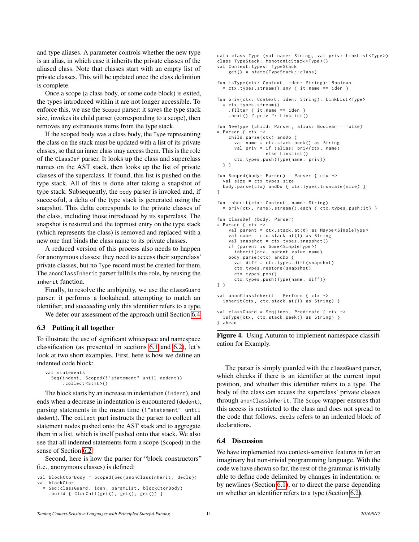and type aliases. A parameter controls whether the new type is an alias, in which case it inherits the private classes of the aliased class. Note that classes start with an empty list of private classes. This will be updated once the class definition is complete.

Once a scope (a class body, or some code block) is exited, the types introduced within it are not longer accessible. To enforce this, we use the Scoped parser: it saves the type stack size, invokes its child parser (corresponding to a scope), then removes any extraneous items from the type stack.

If the scoped body was a class body, the Type representing the class on the stack must be updated with a list of its private classes, so that an inner class may access them. This is the role of the ClassDef parser. It looks up the class and superclass names on the AST stack, then looks up the list of private classes of the superclass. If found, this list is pushed on the type stack. All of this is done after taking a snapshot of type stack. Subsequently, the body parser is invoked and, if successful, a delta of the type stack is generated using the snapshot. This delta corresponds to the private classes of the class, including those introduced by its superclass. The snapshot is restored and the topmost entry on the type stack (which represents the class) is removed and replaced with a new one that binds the class name to its private classes.

A reduced version of this process also needs to happen for anonymous classes: they need to access their superclass' private classes, but no Type record must be created for them. The anonClassInherit parser fullfills this role, by reusing the inherit function.

Finally, to resolve the ambiguity, we use the classGuard parser: it performs a lookahead, attempting to match an identifier, and succeeding only this identifier refers to a type.

We defer our assessment of the approach until Section [6.4.](#page-10-1)

## 6.3 Putting it all together

To illustrate the use of significant whitespace and namespace classification (as presented in sections [6.1](#page-8-2) and [6.2\)](#page-9-1), let's look at two short examples. First, here is how we define an indented code block:

```
val statements =
  Seq(indent, Scoped(!"statement" until dedent))
      . collect < Stmt >()
```
The block starts by an increase in indentation (indent), and ends when a decrease in indentation is encountered (dedent), parsing statements in the mean time (!"statement" until dedent). The collect part instructs the parser to collect all statement nodes pushed onto the AST stack and to aggregate them in a list, which is itself pushed onto that stack. We also see that all indented statements form a scope (Scoped) in the sense of Section [6.2.](#page-9-1)

Second, here is how the parser for "block constructors" (i.e., anonymous classes) is defined:

```
val blockCtorBody = Scoped (Seq (anonClassInherit, decls))
val blockCtor
 = Seq ( classGuard , iden , paramList , blockCtorBody )
```

```
. build { CtorCall (get(), get(), get()) }
```

```
data class Type (val name: String, val priv: LinkList<Type>)
class TypeStack : MonotonicStack < Type >()
val Context . types : TypeStack
    get () = state ( TypeStack :: class )
fun isType(ctx: Context, iden: String): Boolean
   = ctx . types . stream (). any { it . name == iden }
fun priv (ctx: Context, iden: String): LinkList<Type>
  = ctx . types . stream ()
    . filter { it . name == iden }
     . next () ?. priv ?: LinkList ()
fun NewType ( child: Parser, alias: Boolean = false)
= Parser { ctx ->
    child.parse(ctx) andDo {
      val name = ctx.stack.peek() as String
      val priv = if (alias) priv(ctx, name)else LinkList ()
      ctx . types . push ( Type ( name , priv ))
  } }
fun Scoped (body: Parser) = Parser { ctx ->
  val size = ctx . types . size
  body . parse ( ctx ) andDo { ctx . types . truncate ( size ) }
}
fun inherit ( ctx : Context , name : String )
  = priv(ctx, name).stream().each { ctx.types.push(it) }
fun ClassDef ( body : Parser )
= Parser \{ ctx \rightarrowval parent = ctx.stack.at(0) as Maybe < SimpleType >
    val name = ctx . stack . at (1) as String
    val snapshot = ctx.types.snapshot()
    if ( parent is Some < SimpleType >)
      inherit ( ctx , parent . value . name )
    body . parse ( ctx ) andDo {
      val diff = ctx. types. diff (snapshot)
       ctx . types . restore ( snapshot )
      ctx . types . pop ()
      ctx . types . push ( Type ( name , diff ))
} }
val anonClassInherit = Perform { ctx ->
  inherit (ctx, ctx.stack.at(1) as String) }
val classGuard = Seq(iden, Predicate { ctx ->
  isType (ctx, ctx.stack.peek() as String) }
). ahead
```
<span id="page-10-0"></span>Figure 4. Using Autumn to implement namespace classification for Examply.

The parser is simply guarded with the classGuard parser, which checks if there is an identifier at the current input position, and whether this identifier refers to a type. The body of the class can access the superclass' private classes through anonClassInherit. The Scope wrapper ensures that this access is restricted to the class and does not spread to the code that follows. decls refers to an indented block of declarations.

## <span id="page-10-1"></span>6.4 Discussion

We have implemented two context-sensitive features in for an imaginary but non-trivial programming language. With the code we have shown so far, the rest of the grammar is trivially able to define code delimited by changes in indentation, or by newlines (Section [6.1\)](#page-8-2); or to direct the parse depending on whether an identifier refers to a type (Section [6.2\)](#page-9-1).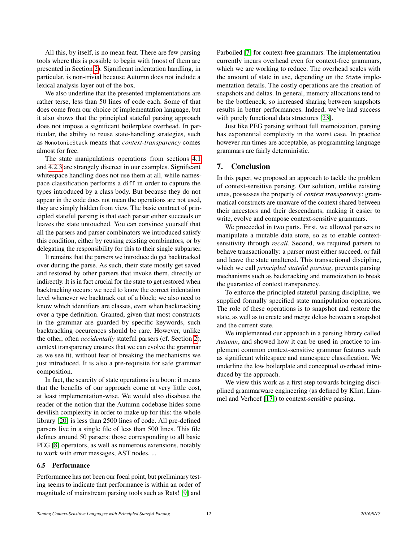All this, by itself, is no mean feat. There are few parsing tools where this is possible to begin with (most of them are presented in Section [2\)](#page-1-2). Significant indentation handling, in particular, is non-trivial because Autumn does not include a lexical analysis layer out of the box.

We also underline that the presented implementations are rather terse, less than 50 lines of code each. Some of that does come from our choice of implementation language, but it also shows that the principled stateful parsing approach does not impose a significant boilerplate overhead. In particular, the ability to reuse state-handling strategies, such as MonotonicStack means that *context-transparency* comes almost for free.

The state manipulations operations from sections [4.1](#page-4-2) and [4.2.3](#page-5-0) are strangely discreet in our examples. Significant whitespace handling does not use them at all, while namespace classification performs a diff in order to capture the types introduced by a class body. But because they do not appear in the code does not mean the operations are not used, they are simply hidden from view. The basic contract of principled stateful parsing is that each parser either succeeds or leaves the state untouched. You can convince yourself that all the parsers and parser combinators we introduced satisfy this condition, either by reusing existing combinators, or by delegating the responsibility for this to their single subparser.

It remains that the parsers we introduce do get backtracked over during the parse. As such, their state mostly get saved and restored by other parsers that invoke them, directly or indirectly. It is in fact crucial for the state to get restored when backtracking occurs: we need to know the correct indentation level whenever we backtrack out of a block; we also need to know which identifiers are classes, even when backtracking over a type definition. Granted, given that most constructs in the grammar are guarded by specific keywords, such backtracking occurences should be rare. However, unlike the other, often *accidentally* stateful parsers (cf. Section [2\)](#page-1-2), context transparency ensures that we can evolve the grammar as we see fit, without fear of breaking the mechanisms we just introduced. It is also a pre-requisite for safe grammar composition.

In fact, the scarcity of state operations is a boon: it means that the benefits of our approach come at very little cost, at least implementation-wise. We would also disabuse the reader of the notion that the Autumn codebase hides some devilish complexity in order to make up for this: the whole library [\[20\]](#page-12-24) is less than 2500 lines of code. All pre-defined parsers live in a single file of less than 500 lines. This file defines around 50 parsers: those corresponding to all basic PEG [\[8\]](#page-12-4) operators, as well as numerous extensions, notably to work with error messages, AST nodes, ...

#### 6.5 Performance

Performance has not been our focal point, but preliminary testing seems to indicate that performance is within an order of magnitude of mainstream parsing tools such as Rats! [\[9\]](#page-12-3) and

Parboiled [\[7\]](#page-12-19) for context-free grammars. The implementation currently incurs overhead even for context-free grammars, which we are working to reduce. The overhead scales with the amount of state in use, depending on the State implementation details. The costly operations are the creation of snapshots and deltas. In general, memory allocations tend to be the bottleneck, so increased sharing between snapshots results in better performances. Indeed, we've had success with purely functional data structures [\[23\]](#page-12-28).

Just like PEG parsing without full memoization, parsing has exponential complexity in the worst case. In practice however run times are acceptable, as programming language grammars are fairly deterministic.

## 7. Conclusion

In this paper, we proposed an approach to tackle the problem of context-sensitive parsing. Our solution, unlike existing ones, possesses the property of *context transparency*: grammatical constructs are unaware of the context shared between their ancestors and their descendants, making it easier to write, evolve and compose context-sensitive grammars.

We proceeded in two parts. First, we allowed parsers to manipulate a mutable data store, so as to enable contextsensitivity through *recall*. Second, we required parsers to behave transactionally: a parser must either succeed, or fail and leave the state unaltered. This transactional discipline, which we call *principled stateful parsing*, prevents parsing mechanisms such as backtracking and memoization to break the guarantee of context transparency.

To enforce the principled stateful parsing discipline, we supplied formally specified state manipulation operations. The role of these operations is to snapshot and restore the state, as well as to create and merge deltas between a snapshot and the current state.

We implemented our approach in a parsing library called *Autumn*, and showed how it can be used in practice to implement common context-sensitive grammar features such as significant whitespace and namespace classification. We underline the low boilerplate and conceptual overhead introduced by the approach.

We view this work as a first step towards bringing disciplined grammarware engineering (as defined by Klint, Lämmel and Verhoef [\[17\]](#page-12-29)) to context-sensitive parsing.